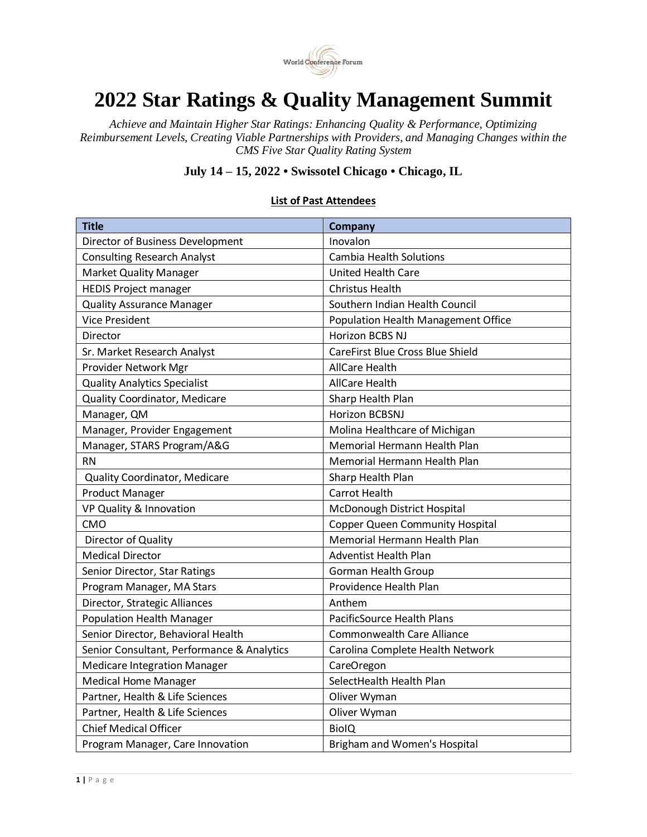

## **2022 Star Ratings & Quality Management Summit**

*Achieve and Maintain Higher Star Ratings: Enhancing Quality & Performance, Optimizing Reimbursement Levels, Creating Viable Partnerships with Providers, and Managing Changes within the CMS Five Star Quality Rating System*

## **July 14 – 15, 2022 • Swissotel Chicago • Chicago, IL**

| <b>Title</b>                               | Company                                 |
|--------------------------------------------|-----------------------------------------|
| Director of Business Development           | Inovalon                                |
| <b>Consulting Research Analyst</b>         | <b>Cambia Health Solutions</b>          |
| <b>Market Quality Manager</b>              | <b>United Health Care</b>               |
| <b>HEDIS Project manager</b>               | <b>Christus Health</b>                  |
| <b>Quality Assurance Manager</b>           | Southern Indian Health Council          |
| <b>Vice President</b>                      | Population Health Management Office     |
| Director                                   | Horizon BCBS NJ                         |
| Sr. Market Research Analyst                | <b>CareFirst Blue Cross Blue Shield</b> |
| Provider Network Mgr                       | <b>AllCare Health</b>                   |
| <b>Quality Analytics Specialist</b>        | <b>AllCare Health</b>                   |
| <b>Quality Coordinator, Medicare</b>       | Sharp Health Plan                       |
| Manager, QM                                | Horizon BCBSNJ                          |
| Manager, Provider Engagement               | Molina Healthcare of Michigan           |
| Manager, STARS Program/A&G                 | Memorial Hermann Health Plan            |
| <b>RN</b>                                  | Memorial Hermann Health Plan            |
| <b>Quality Coordinator, Medicare</b>       | Sharp Health Plan                       |
| <b>Product Manager</b>                     | <b>Carrot Health</b>                    |
| VP Quality & Innovation                    | McDonough District Hospital             |
| CMO                                        | <b>Copper Queen Community Hospital</b>  |
| Director of Quality                        | Memorial Hermann Health Plan            |
| <b>Medical Director</b>                    | <b>Adventist Health Plan</b>            |
| Senior Director, Star Ratings              | <b>Gorman Health Group</b>              |
| Program Manager, MA Stars                  | Providence Health Plan                  |
| Director, Strategic Alliances              | Anthem                                  |
| <b>Population Health Manager</b>           | <b>PacificSource Health Plans</b>       |
| Senior Director, Behavioral Health         | <b>Commonwealth Care Alliance</b>       |
| Senior Consultant, Performance & Analytics | Carolina Complete Health Network        |
| <b>Medicare Integration Manager</b>        | CareOregon                              |
| <b>Medical Home Manager</b>                | SelectHealth Health Plan                |
| Partner, Health & Life Sciences            | Oliver Wyman                            |
| Partner, Health & Life Sciences            | Oliver Wyman                            |
| <b>Chief Medical Officer</b>               | <b>BiolQ</b>                            |
| Program Manager, Care Innovation           | Brigham and Women's Hospital            |

## **List of Past Attendees**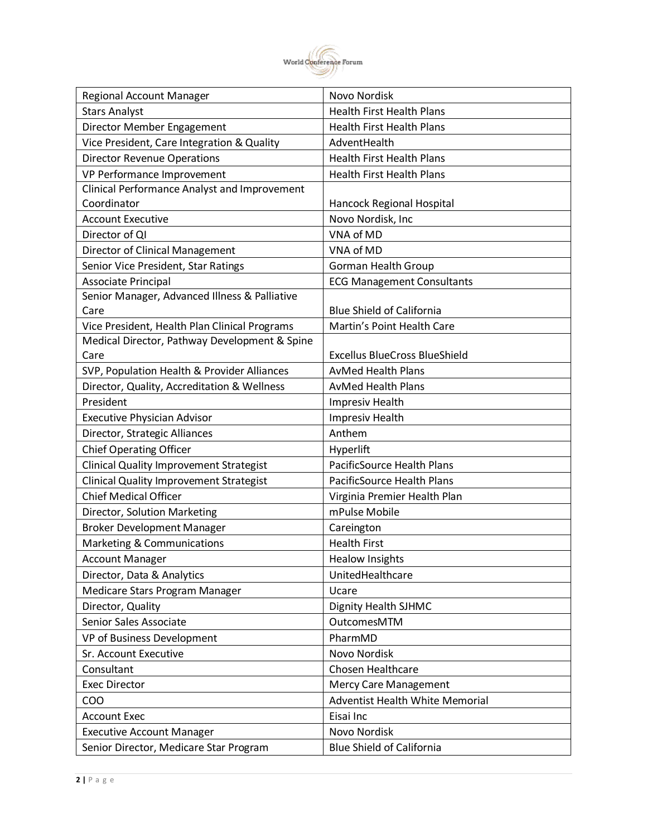

| <b>Health First Health Plans</b><br><b>Stars Analyst</b><br>Director Member Engagement<br><b>Health First Health Plans</b><br>Vice President, Care Integration & Quality<br>AdventHealth<br><b>Director Revenue Operations</b><br><b>Health First Health Plans</b><br>VP Performance Improvement<br><b>Health First Health Plans</b><br>Clinical Performance Analyst and Improvement<br>Coordinator<br>Hancock Regional Hospital<br><b>Account Executive</b><br>Novo Nordisk, Inc<br>VNA of MD<br>Director of QI<br>VNA of MD<br>Director of Clinical Management<br>Senior Vice President, Star Ratings<br><b>Gorman Health Group</b><br>Associate Principal<br><b>ECG Management Consultants</b><br>Senior Manager, Advanced Illness & Palliative<br>Care<br><b>Blue Shield of California</b><br>Vice President, Health Plan Clinical Programs<br>Martin's Point Health Care<br>Medical Director, Pathway Development & Spine<br><b>Excellus BlueCross BlueShield</b><br>Care<br>SVP, Population Health & Provider Alliances<br><b>AvMed Health Plans</b><br>Director, Quality, Accreditation & Wellness<br><b>AvMed Health Plans</b><br>President<br>Impresiv Health<br><b>Impresiv Health</b><br><b>Executive Physician Advisor</b><br>Director, Strategic Alliances<br>Anthem<br><b>Chief Operating Officer</b><br>Hyperlift<br><b>Clinical Quality Improvement Strategist</b><br>PacificSource Health Plans<br><b>Clinical Quality Improvement Strategist</b><br>PacificSource Health Plans<br><b>Chief Medical Officer</b><br>Virginia Premier Health Plan<br>mPulse Mobile<br>Director, Solution Marketing<br><b>Broker Development Manager</b><br>Careington<br>Marketing & Communications<br><b>Health First</b><br><b>Account Manager</b><br><b>Healow Insights</b><br>Director, Data & Analytics<br>UnitedHealthcare<br>Medicare Stars Program Manager<br>Ucare<br>Director, Quality<br>Dignity Health SJHMC<br>Senior Sales Associate<br>OutcomesMTM<br>PharmMD<br>VP of Business Development<br>Novo Nordisk<br>Sr. Account Executive<br>Consultant<br>Chosen Healthcare<br><b>Exec Director</b><br><b>Mercy Care Management</b><br>Adventist Health White Memorial<br>COO<br>Eisai Inc<br><b>Account Exec</b><br>Novo Nordisk<br><b>Executive Account Manager</b> | <b>Regional Account Manager</b>        | <b>Novo Nordisk</b>              |
|---------------------------------------------------------------------------------------------------------------------------------------------------------------------------------------------------------------------------------------------------------------------------------------------------------------------------------------------------------------------------------------------------------------------------------------------------------------------------------------------------------------------------------------------------------------------------------------------------------------------------------------------------------------------------------------------------------------------------------------------------------------------------------------------------------------------------------------------------------------------------------------------------------------------------------------------------------------------------------------------------------------------------------------------------------------------------------------------------------------------------------------------------------------------------------------------------------------------------------------------------------------------------------------------------------------------------------------------------------------------------------------------------------------------------------------------------------------------------------------------------------------------------------------------------------------------------------------------------------------------------------------------------------------------------------------------------------------------------------------------------------------------------------------------------------------------------------------------------------------------------------------------------------------------------------------------------------------------------------------------------------------------------------------------------------------------------------------------------------------------------------------------------------------------------------------------------------------------------------------------------------------------------------|----------------------------------------|----------------------------------|
|                                                                                                                                                                                                                                                                                                                                                                                                                                                                                                                                                                                                                                                                                                                                                                                                                                                                                                                                                                                                                                                                                                                                                                                                                                                                                                                                                                                                                                                                                                                                                                                                                                                                                                                                                                                                                                                                                                                                                                                                                                                                                                                                                                                                                                                                                 |                                        |                                  |
|                                                                                                                                                                                                                                                                                                                                                                                                                                                                                                                                                                                                                                                                                                                                                                                                                                                                                                                                                                                                                                                                                                                                                                                                                                                                                                                                                                                                                                                                                                                                                                                                                                                                                                                                                                                                                                                                                                                                                                                                                                                                                                                                                                                                                                                                                 |                                        |                                  |
|                                                                                                                                                                                                                                                                                                                                                                                                                                                                                                                                                                                                                                                                                                                                                                                                                                                                                                                                                                                                                                                                                                                                                                                                                                                                                                                                                                                                                                                                                                                                                                                                                                                                                                                                                                                                                                                                                                                                                                                                                                                                                                                                                                                                                                                                                 |                                        |                                  |
|                                                                                                                                                                                                                                                                                                                                                                                                                                                                                                                                                                                                                                                                                                                                                                                                                                                                                                                                                                                                                                                                                                                                                                                                                                                                                                                                                                                                                                                                                                                                                                                                                                                                                                                                                                                                                                                                                                                                                                                                                                                                                                                                                                                                                                                                                 |                                        |                                  |
|                                                                                                                                                                                                                                                                                                                                                                                                                                                                                                                                                                                                                                                                                                                                                                                                                                                                                                                                                                                                                                                                                                                                                                                                                                                                                                                                                                                                                                                                                                                                                                                                                                                                                                                                                                                                                                                                                                                                                                                                                                                                                                                                                                                                                                                                                 |                                        |                                  |
|                                                                                                                                                                                                                                                                                                                                                                                                                                                                                                                                                                                                                                                                                                                                                                                                                                                                                                                                                                                                                                                                                                                                                                                                                                                                                                                                                                                                                                                                                                                                                                                                                                                                                                                                                                                                                                                                                                                                                                                                                                                                                                                                                                                                                                                                                 |                                        |                                  |
|                                                                                                                                                                                                                                                                                                                                                                                                                                                                                                                                                                                                                                                                                                                                                                                                                                                                                                                                                                                                                                                                                                                                                                                                                                                                                                                                                                                                                                                                                                                                                                                                                                                                                                                                                                                                                                                                                                                                                                                                                                                                                                                                                                                                                                                                                 |                                        |                                  |
|                                                                                                                                                                                                                                                                                                                                                                                                                                                                                                                                                                                                                                                                                                                                                                                                                                                                                                                                                                                                                                                                                                                                                                                                                                                                                                                                                                                                                                                                                                                                                                                                                                                                                                                                                                                                                                                                                                                                                                                                                                                                                                                                                                                                                                                                                 |                                        |                                  |
|                                                                                                                                                                                                                                                                                                                                                                                                                                                                                                                                                                                                                                                                                                                                                                                                                                                                                                                                                                                                                                                                                                                                                                                                                                                                                                                                                                                                                                                                                                                                                                                                                                                                                                                                                                                                                                                                                                                                                                                                                                                                                                                                                                                                                                                                                 |                                        |                                  |
|                                                                                                                                                                                                                                                                                                                                                                                                                                                                                                                                                                                                                                                                                                                                                                                                                                                                                                                                                                                                                                                                                                                                                                                                                                                                                                                                                                                                                                                                                                                                                                                                                                                                                                                                                                                                                                                                                                                                                                                                                                                                                                                                                                                                                                                                                 |                                        |                                  |
|                                                                                                                                                                                                                                                                                                                                                                                                                                                                                                                                                                                                                                                                                                                                                                                                                                                                                                                                                                                                                                                                                                                                                                                                                                                                                                                                                                                                                                                                                                                                                                                                                                                                                                                                                                                                                                                                                                                                                                                                                                                                                                                                                                                                                                                                                 |                                        |                                  |
|                                                                                                                                                                                                                                                                                                                                                                                                                                                                                                                                                                                                                                                                                                                                                                                                                                                                                                                                                                                                                                                                                                                                                                                                                                                                                                                                                                                                                                                                                                                                                                                                                                                                                                                                                                                                                                                                                                                                                                                                                                                                                                                                                                                                                                                                                 |                                        |                                  |
|                                                                                                                                                                                                                                                                                                                                                                                                                                                                                                                                                                                                                                                                                                                                                                                                                                                                                                                                                                                                                                                                                                                                                                                                                                                                                                                                                                                                                                                                                                                                                                                                                                                                                                                                                                                                                                                                                                                                                                                                                                                                                                                                                                                                                                                                                 |                                        |                                  |
|                                                                                                                                                                                                                                                                                                                                                                                                                                                                                                                                                                                                                                                                                                                                                                                                                                                                                                                                                                                                                                                                                                                                                                                                                                                                                                                                                                                                                                                                                                                                                                                                                                                                                                                                                                                                                                                                                                                                                                                                                                                                                                                                                                                                                                                                                 |                                        |                                  |
|                                                                                                                                                                                                                                                                                                                                                                                                                                                                                                                                                                                                                                                                                                                                                                                                                                                                                                                                                                                                                                                                                                                                                                                                                                                                                                                                                                                                                                                                                                                                                                                                                                                                                                                                                                                                                                                                                                                                                                                                                                                                                                                                                                                                                                                                                 |                                        |                                  |
|                                                                                                                                                                                                                                                                                                                                                                                                                                                                                                                                                                                                                                                                                                                                                                                                                                                                                                                                                                                                                                                                                                                                                                                                                                                                                                                                                                                                                                                                                                                                                                                                                                                                                                                                                                                                                                                                                                                                                                                                                                                                                                                                                                                                                                                                                 |                                        |                                  |
|                                                                                                                                                                                                                                                                                                                                                                                                                                                                                                                                                                                                                                                                                                                                                                                                                                                                                                                                                                                                                                                                                                                                                                                                                                                                                                                                                                                                                                                                                                                                                                                                                                                                                                                                                                                                                                                                                                                                                                                                                                                                                                                                                                                                                                                                                 |                                        |                                  |
|                                                                                                                                                                                                                                                                                                                                                                                                                                                                                                                                                                                                                                                                                                                                                                                                                                                                                                                                                                                                                                                                                                                                                                                                                                                                                                                                                                                                                                                                                                                                                                                                                                                                                                                                                                                                                                                                                                                                                                                                                                                                                                                                                                                                                                                                                 |                                        |                                  |
|                                                                                                                                                                                                                                                                                                                                                                                                                                                                                                                                                                                                                                                                                                                                                                                                                                                                                                                                                                                                                                                                                                                                                                                                                                                                                                                                                                                                                                                                                                                                                                                                                                                                                                                                                                                                                                                                                                                                                                                                                                                                                                                                                                                                                                                                                 |                                        |                                  |
|                                                                                                                                                                                                                                                                                                                                                                                                                                                                                                                                                                                                                                                                                                                                                                                                                                                                                                                                                                                                                                                                                                                                                                                                                                                                                                                                                                                                                                                                                                                                                                                                                                                                                                                                                                                                                                                                                                                                                                                                                                                                                                                                                                                                                                                                                 |                                        |                                  |
|                                                                                                                                                                                                                                                                                                                                                                                                                                                                                                                                                                                                                                                                                                                                                                                                                                                                                                                                                                                                                                                                                                                                                                                                                                                                                                                                                                                                                                                                                                                                                                                                                                                                                                                                                                                                                                                                                                                                                                                                                                                                                                                                                                                                                                                                                 |                                        |                                  |
|                                                                                                                                                                                                                                                                                                                                                                                                                                                                                                                                                                                                                                                                                                                                                                                                                                                                                                                                                                                                                                                                                                                                                                                                                                                                                                                                                                                                                                                                                                                                                                                                                                                                                                                                                                                                                                                                                                                                                                                                                                                                                                                                                                                                                                                                                 |                                        |                                  |
|                                                                                                                                                                                                                                                                                                                                                                                                                                                                                                                                                                                                                                                                                                                                                                                                                                                                                                                                                                                                                                                                                                                                                                                                                                                                                                                                                                                                                                                                                                                                                                                                                                                                                                                                                                                                                                                                                                                                                                                                                                                                                                                                                                                                                                                                                 |                                        |                                  |
|                                                                                                                                                                                                                                                                                                                                                                                                                                                                                                                                                                                                                                                                                                                                                                                                                                                                                                                                                                                                                                                                                                                                                                                                                                                                                                                                                                                                                                                                                                                                                                                                                                                                                                                                                                                                                                                                                                                                                                                                                                                                                                                                                                                                                                                                                 |                                        |                                  |
|                                                                                                                                                                                                                                                                                                                                                                                                                                                                                                                                                                                                                                                                                                                                                                                                                                                                                                                                                                                                                                                                                                                                                                                                                                                                                                                                                                                                                                                                                                                                                                                                                                                                                                                                                                                                                                                                                                                                                                                                                                                                                                                                                                                                                                                                                 |                                        |                                  |
|                                                                                                                                                                                                                                                                                                                                                                                                                                                                                                                                                                                                                                                                                                                                                                                                                                                                                                                                                                                                                                                                                                                                                                                                                                                                                                                                                                                                                                                                                                                                                                                                                                                                                                                                                                                                                                                                                                                                                                                                                                                                                                                                                                                                                                                                                 |                                        |                                  |
|                                                                                                                                                                                                                                                                                                                                                                                                                                                                                                                                                                                                                                                                                                                                                                                                                                                                                                                                                                                                                                                                                                                                                                                                                                                                                                                                                                                                                                                                                                                                                                                                                                                                                                                                                                                                                                                                                                                                                                                                                                                                                                                                                                                                                                                                                 |                                        |                                  |
|                                                                                                                                                                                                                                                                                                                                                                                                                                                                                                                                                                                                                                                                                                                                                                                                                                                                                                                                                                                                                                                                                                                                                                                                                                                                                                                                                                                                                                                                                                                                                                                                                                                                                                                                                                                                                                                                                                                                                                                                                                                                                                                                                                                                                                                                                 |                                        |                                  |
|                                                                                                                                                                                                                                                                                                                                                                                                                                                                                                                                                                                                                                                                                                                                                                                                                                                                                                                                                                                                                                                                                                                                                                                                                                                                                                                                                                                                                                                                                                                                                                                                                                                                                                                                                                                                                                                                                                                                                                                                                                                                                                                                                                                                                                                                                 |                                        |                                  |
|                                                                                                                                                                                                                                                                                                                                                                                                                                                                                                                                                                                                                                                                                                                                                                                                                                                                                                                                                                                                                                                                                                                                                                                                                                                                                                                                                                                                                                                                                                                                                                                                                                                                                                                                                                                                                                                                                                                                                                                                                                                                                                                                                                                                                                                                                 |                                        |                                  |
|                                                                                                                                                                                                                                                                                                                                                                                                                                                                                                                                                                                                                                                                                                                                                                                                                                                                                                                                                                                                                                                                                                                                                                                                                                                                                                                                                                                                                                                                                                                                                                                                                                                                                                                                                                                                                                                                                                                                                                                                                                                                                                                                                                                                                                                                                 |                                        |                                  |
|                                                                                                                                                                                                                                                                                                                                                                                                                                                                                                                                                                                                                                                                                                                                                                                                                                                                                                                                                                                                                                                                                                                                                                                                                                                                                                                                                                                                                                                                                                                                                                                                                                                                                                                                                                                                                                                                                                                                                                                                                                                                                                                                                                                                                                                                                 |                                        |                                  |
|                                                                                                                                                                                                                                                                                                                                                                                                                                                                                                                                                                                                                                                                                                                                                                                                                                                                                                                                                                                                                                                                                                                                                                                                                                                                                                                                                                                                                                                                                                                                                                                                                                                                                                                                                                                                                                                                                                                                                                                                                                                                                                                                                                                                                                                                                 |                                        |                                  |
|                                                                                                                                                                                                                                                                                                                                                                                                                                                                                                                                                                                                                                                                                                                                                                                                                                                                                                                                                                                                                                                                                                                                                                                                                                                                                                                                                                                                                                                                                                                                                                                                                                                                                                                                                                                                                                                                                                                                                                                                                                                                                                                                                                                                                                                                                 |                                        |                                  |
|                                                                                                                                                                                                                                                                                                                                                                                                                                                                                                                                                                                                                                                                                                                                                                                                                                                                                                                                                                                                                                                                                                                                                                                                                                                                                                                                                                                                                                                                                                                                                                                                                                                                                                                                                                                                                                                                                                                                                                                                                                                                                                                                                                                                                                                                                 |                                        |                                  |
|                                                                                                                                                                                                                                                                                                                                                                                                                                                                                                                                                                                                                                                                                                                                                                                                                                                                                                                                                                                                                                                                                                                                                                                                                                                                                                                                                                                                                                                                                                                                                                                                                                                                                                                                                                                                                                                                                                                                                                                                                                                                                                                                                                                                                                                                                 |                                        |                                  |
|                                                                                                                                                                                                                                                                                                                                                                                                                                                                                                                                                                                                                                                                                                                                                                                                                                                                                                                                                                                                                                                                                                                                                                                                                                                                                                                                                                                                                                                                                                                                                                                                                                                                                                                                                                                                                                                                                                                                                                                                                                                                                                                                                                                                                                                                                 |                                        |                                  |
|                                                                                                                                                                                                                                                                                                                                                                                                                                                                                                                                                                                                                                                                                                                                                                                                                                                                                                                                                                                                                                                                                                                                                                                                                                                                                                                                                                                                                                                                                                                                                                                                                                                                                                                                                                                                                                                                                                                                                                                                                                                                                                                                                                                                                                                                                 |                                        |                                  |
|                                                                                                                                                                                                                                                                                                                                                                                                                                                                                                                                                                                                                                                                                                                                                                                                                                                                                                                                                                                                                                                                                                                                                                                                                                                                                                                                                                                                                                                                                                                                                                                                                                                                                                                                                                                                                                                                                                                                                                                                                                                                                                                                                                                                                                                                                 |                                        |                                  |
|                                                                                                                                                                                                                                                                                                                                                                                                                                                                                                                                                                                                                                                                                                                                                                                                                                                                                                                                                                                                                                                                                                                                                                                                                                                                                                                                                                                                                                                                                                                                                                                                                                                                                                                                                                                                                                                                                                                                                                                                                                                                                                                                                                                                                                                                                 |                                        |                                  |
|                                                                                                                                                                                                                                                                                                                                                                                                                                                                                                                                                                                                                                                                                                                                                                                                                                                                                                                                                                                                                                                                                                                                                                                                                                                                                                                                                                                                                                                                                                                                                                                                                                                                                                                                                                                                                                                                                                                                                                                                                                                                                                                                                                                                                                                                                 |                                        |                                  |
|                                                                                                                                                                                                                                                                                                                                                                                                                                                                                                                                                                                                                                                                                                                                                                                                                                                                                                                                                                                                                                                                                                                                                                                                                                                                                                                                                                                                                                                                                                                                                                                                                                                                                                                                                                                                                                                                                                                                                                                                                                                                                                                                                                                                                                                                                 | Senior Director, Medicare Star Program | <b>Blue Shield of California</b> |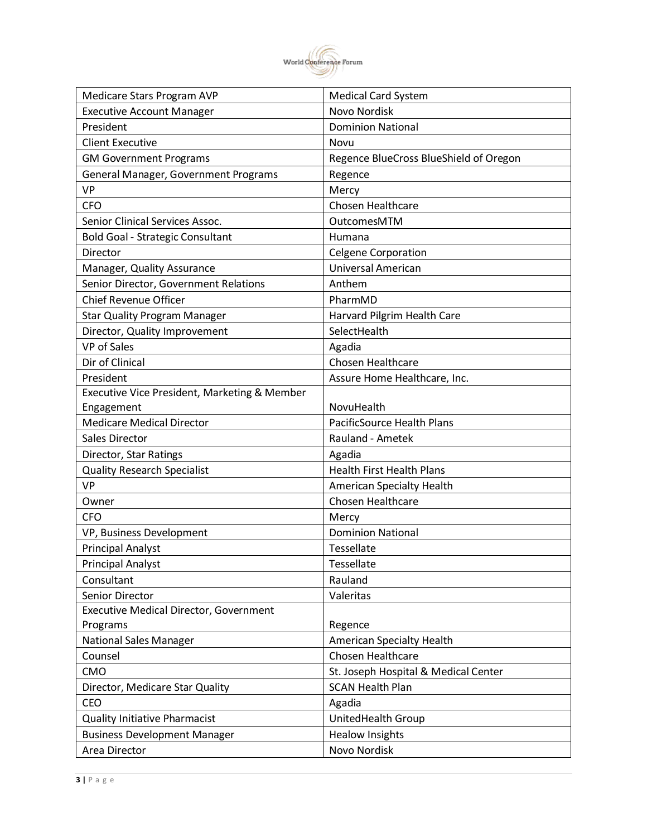

| Medicare Stars Program AVP                    | <b>Medical Card System</b>             |
|-----------------------------------------------|----------------------------------------|
| <b>Executive Account Manager</b>              | Novo Nordisk                           |
| President                                     | <b>Dominion National</b>               |
| <b>Client Executive</b>                       | Novu                                   |
| <b>GM Government Programs</b>                 | Regence BlueCross BlueShield of Oregon |
| General Manager, Government Programs          | Regence                                |
| <b>VP</b>                                     | Mercy                                  |
| <b>CFO</b>                                    | <b>Chosen Healthcare</b>               |
| Senior Clinical Services Assoc.               | OutcomesMTM                            |
| <b>Bold Goal - Strategic Consultant</b>       | Humana                                 |
| Director                                      | <b>Celgene Corporation</b>             |
| Manager, Quality Assurance                    | Universal American                     |
| Senior Director, Government Relations         | Anthem                                 |
| <b>Chief Revenue Officer</b>                  | PharmMD                                |
| <b>Star Quality Program Manager</b>           | Harvard Pilgrim Health Care            |
| Director, Quality Improvement                 | SelectHealth                           |
| <b>VP</b> of Sales                            | Agadia                                 |
| Dir of Clinical                               | Chosen Healthcare                      |
| President                                     | Assure Home Healthcare, Inc.           |
| Executive Vice President, Marketing & Member  |                                        |
| Engagement                                    | NovuHealth                             |
| <b>Medicare Medical Director</b>              | PacificSource Health Plans             |
| Sales Director                                | Rauland - Ametek                       |
| Director, Star Ratings                        | Agadia                                 |
| <b>Quality Research Specialist</b>            | <b>Health First Health Plans</b>       |
| <b>VP</b>                                     | American Specialty Health              |
| Owner                                         | Chosen Healthcare                      |
| <b>CFO</b>                                    | Mercy                                  |
| VP, Business Development                      | <b>Dominion National</b>               |
| <b>Principal Analyst</b>                      | Tessellate                             |
| <b>Principal Analyst</b>                      | Tessellate                             |
| Consultant                                    | Rauland                                |
| Senior Director                               | Valeritas                              |
| <b>Executive Medical Director, Government</b> |                                        |
| Programs                                      | Regence                                |
| <b>National Sales Manager</b>                 | American Specialty Health              |
| Counsel                                       | Chosen Healthcare                      |
| <b>CMO</b>                                    | St. Joseph Hospital & Medical Center   |
| Director, Medicare Star Quality               | <b>SCAN Health Plan</b>                |
| CEO                                           | Agadia                                 |
| <b>Quality Initiative Pharmacist</b>          | UnitedHealth Group                     |
| <b>Business Development Manager</b>           | <b>Healow Insights</b>                 |
| Area Director                                 | Novo Nordisk                           |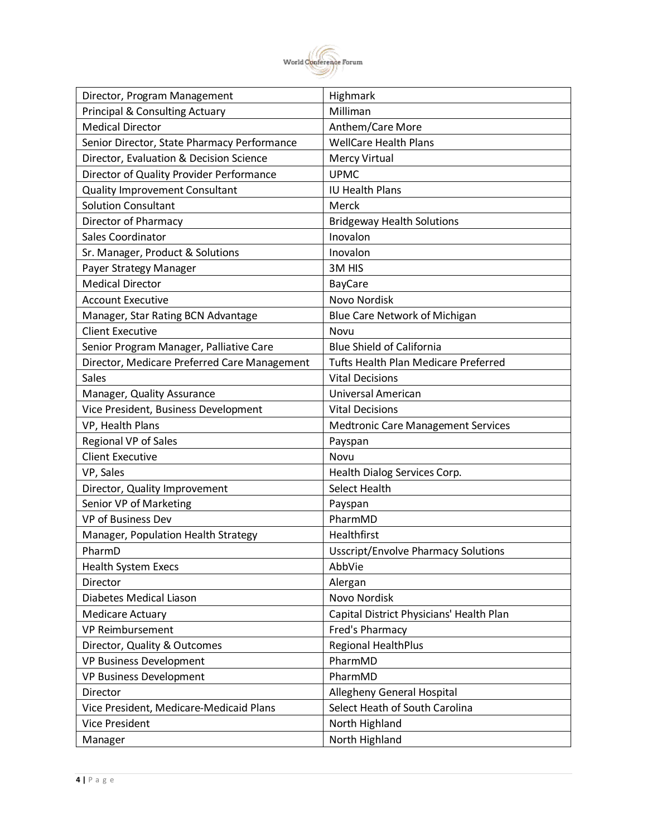

| Director, Program Management                 | Highmark                                    |
|----------------------------------------------|---------------------------------------------|
| <b>Principal &amp; Consulting Actuary</b>    | Milliman                                    |
| <b>Medical Director</b>                      | Anthem/Care More                            |
| Senior Director, State Pharmacy Performance  | <b>WellCare Health Plans</b>                |
| Director, Evaluation & Decision Science      | <b>Mercy Virtual</b>                        |
| Director of Quality Provider Performance     | <b>UPMC</b>                                 |
| <b>Quality Improvement Consultant</b>        | <b>IU Health Plans</b>                      |
| <b>Solution Consultant</b>                   | Merck                                       |
| Director of Pharmacy                         | <b>Bridgeway Health Solutions</b>           |
| <b>Sales Coordinator</b>                     | Inovalon                                    |
| Sr. Manager, Product & Solutions             | Inovalon                                    |
| Payer Strategy Manager                       | 3M HIS                                      |
| <b>Medical Director</b>                      | <b>BayCare</b>                              |
| <b>Account Executive</b>                     | Novo Nordisk                                |
| Manager, Star Rating BCN Advantage           | Blue Care Network of Michigan               |
| <b>Client Executive</b>                      | Novu                                        |
| Senior Program Manager, Palliative Care      | <b>Blue Shield of California</b>            |
| Director, Medicare Preferred Care Management | <b>Tufts Health Plan Medicare Preferred</b> |
| <b>Sales</b>                                 | <b>Vital Decisions</b>                      |
| Manager, Quality Assurance                   | Universal American                          |
| Vice President, Business Development         | <b>Vital Decisions</b>                      |
|                                              |                                             |
| VP, Health Plans                             | <b>Medtronic Care Management Services</b>   |
| Regional VP of Sales                         | Payspan                                     |
| <b>Client Executive</b>                      | Novu                                        |
| VP, Sales                                    | Health Dialog Services Corp.                |
| Director, Quality Improvement                | Select Health                               |
| Senior VP of Marketing                       | Payspan                                     |
| VP of Business Dev                           | PharmMD                                     |
| Manager, Population Health Strategy          | Healthfirst                                 |
| PharmD                                       | <b>Usscript/Envolve Pharmacy Solutions</b>  |
| <b>Health System Execs</b>                   | AbbVie                                      |
| Director                                     | Alergan                                     |
| Diabetes Medical Liason                      | Novo Nordisk                                |
| <b>Medicare Actuary</b>                      | Capital District Physicians' Health Plan    |
| <b>VP Reimbursement</b>                      | Fred's Pharmacy                             |
| Director, Quality & Outcomes                 | <b>Regional HealthPlus</b>                  |
| <b>VP Business Development</b>               | PharmMD                                     |
| <b>VP Business Development</b>               | PharmMD                                     |
| Director                                     | Allegheny General Hospital                  |
| Vice President, Medicare-Medicaid Plans      | Select Heath of South Carolina              |
| <b>Vice President</b>                        | North Highland                              |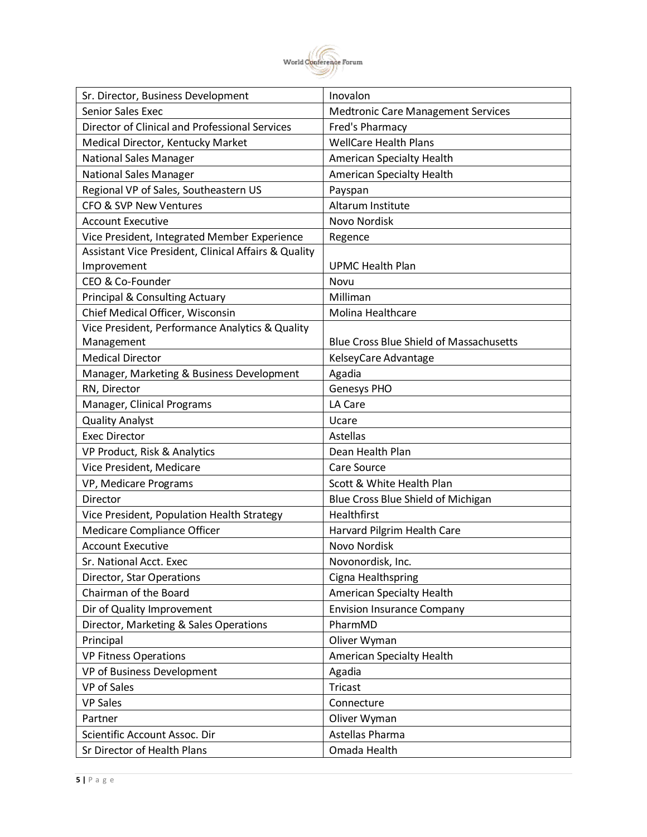

| Sr. Director, Business Development                   | Inovalon                                       |
|------------------------------------------------------|------------------------------------------------|
| <b>Senior Sales Exec</b>                             | <b>Medtronic Care Management Services</b>      |
| Director of Clinical and Professional Services       | <b>Fred's Pharmacy</b>                         |
| Medical Director, Kentucky Market                    | <b>WellCare Health Plans</b>                   |
| <b>National Sales Manager</b>                        | American Specialty Health                      |
| <b>National Sales Manager</b>                        | American Specialty Health                      |
| Regional VP of Sales, Southeastern US                | Payspan                                        |
| <b>CFO &amp; SVP New Ventures</b>                    | Altarum Institute                              |
| <b>Account Executive</b>                             | Novo Nordisk                                   |
| Vice President, Integrated Member Experience         | Regence                                        |
| Assistant Vice President, Clinical Affairs & Quality |                                                |
| Improvement                                          | <b>UPMC Health Plan</b>                        |
| CEO & Co-Founder                                     | Novu                                           |
| <b>Principal &amp; Consulting Actuary</b>            | Milliman                                       |
| Chief Medical Officer, Wisconsin                     | Molina Healthcare                              |
| Vice President, Performance Analytics & Quality      |                                                |
| Management                                           | <b>Blue Cross Blue Shield of Massachusetts</b> |
| <b>Medical Director</b>                              | KelseyCare Advantage                           |
| Manager, Marketing & Business Development            | Agadia                                         |
| RN, Director                                         | Genesys PHO                                    |
| Manager, Clinical Programs                           | LA Care                                        |
| <b>Quality Analyst</b>                               | Ucare                                          |
| <b>Exec Director</b>                                 | Astellas                                       |
| VP Product, Risk & Analytics                         | Dean Health Plan                               |
| Vice President, Medicare                             | Care Source                                    |
| VP, Medicare Programs                                | Scott & White Health Plan                      |
| Director                                             | Blue Cross Blue Shield of Michigan             |
| Vice President, Population Health Strategy           | Healthfirst                                    |
| Medicare Compliance Officer                          | Harvard Pilgrim Health Care                    |
| <b>Account Executive</b>                             | <b>Novo Nordisk</b>                            |
| Sr. National Acct. Exec                              | Novonordisk, Inc.                              |
| Director, Star Operations                            | Cigna Healthspring                             |
| Chairman of the Board                                | American Specialty Health                      |
| Dir of Quality Improvement                           | <b>Envision Insurance Company</b>              |
| Director, Marketing & Sales Operations               | PharmMD                                        |
| Principal                                            | Oliver Wyman                                   |
| <b>VP Fitness Operations</b>                         | American Specialty Health                      |
| VP of Business Development                           | Agadia                                         |
| VP of Sales                                          | <b>Tricast</b>                                 |
| <b>VP Sales</b>                                      | Connecture                                     |
| Partner                                              | Oliver Wyman                                   |
| Scientific Account Assoc. Dir                        | Astellas Pharma                                |
| Sr Director of Health Plans                          | Omada Health                                   |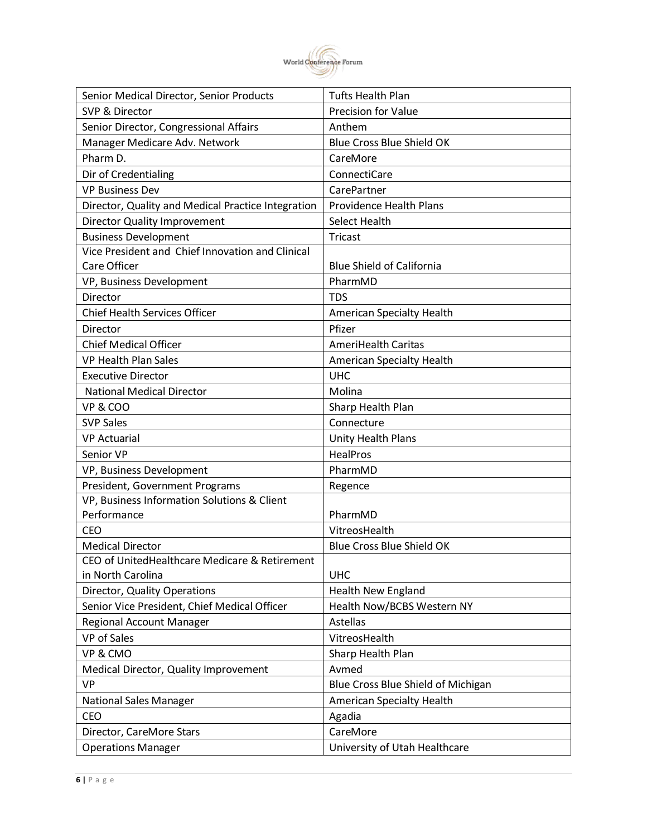

| Senior Medical Director, Senior Products           | <b>Tufts Health Plan</b>           |
|----------------------------------------------------|------------------------------------|
| SVP & Director                                     | Precision for Value                |
| Senior Director, Congressional Affairs             | Anthem                             |
| Manager Medicare Adv. Network                      | <b>Blue Cross Blue Shield OK</b>   |
| Pharm D.                                           | CareMore                           |
| Dir of Credentialing                               | ConnectiCare                       |
| <b>VP Business Dev</b>                             | CarePartner                        |
| Director, Quality and Medical Practice Integration | <b>Providence Health Plans</b>     |
| <b>Director Quality Improvement</b>                | Select Health                      |
| <b>Business Development</b>                        | <b>Tricast</b>                     |
| Vice President and Chief Innovation and Clinical   |                                    |
| Care Officer                                       | <b>Blue Shield of California</b>   |
| VP, Business Development                           | PharmMD                            |
| Director                                           | <b>TDS</b>                         |
| <b>Chief Health Services Officer</b>               | American Specialty Health          |
| Director                                           | Pfizer                             |
| <b>Chief Medical Officer</b>                       | <b>AmeriHealth Caritas</b>         |
| <b>VP Health Plan Sales</b>                        | <b>American Specialty Health</b>   |
| <b>Executive Director</b>                          | <b>UHC</b>                         |
| <b>National Medical Director</b>                   | Molina                             |
| VP & COO                                           | Sharp Health Plan                  |
| <b>SVP Sales</b>                                   | Connecture                         |
| <b>VP Actuarial</b>                                | Unity Health Plans                 |
| Senior VP                                          | <b>HealPros</b>                    |
| VP, Business Development                           | PharmMD                            |
| President, Government Programs                     | Regence                            |
| VP, Business Information Solutions & Client        |                                    |
| Performance                                        | PharmMD                            |
| <b>CEO</b>                                         | VitreosHealth                      |
| <b>Medical Director</b>                            | <b>Blue Cross Blue Shield OK</b>   |
| CEO of UnitedHealthcare Medicare & Retirement      |                                    |
| in North Carolina                                  | <b>UHC</b>                         |
| Director, Quality Operations                       | <b>Health New England</b>          |
| Senior Vice President, Chief Medical Officer       | Health Now/BCBS Western NY         |
| Regional Account Manager                           | Astellas                           |
| <b>VP</b> of Sales                                 | VitreosHealth                      |
| VP & CMO                                           | Sharp Health Plan                  |
| Medical Director, Quality Improvement              | Avmed                              |
| <b>VP</b>                                          | Blue Cross Blue Shield of Michigan |
| <b>National Sales Manager</b>                      | American Specialty Health          |
| CEO                                                | Agadia                             |
| Director, CareMore Stars                           | CareMore                           |
| <b>Operations Manager</b>                          | University of Utah Healthcare      |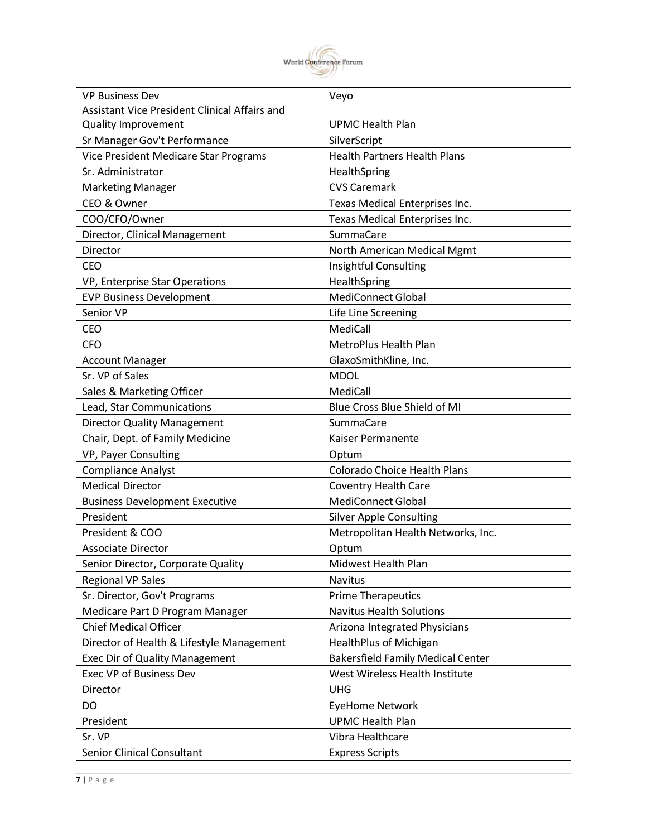

| <b>VP Business Dev</b>                        | Veyo                                     |
|-----------------------------------------------|------------------------------------------|
| Assistant Vice President Clinical Affairs and |                                          |
| <b>Quality Improvement</b>                    | <b>UPMC Health Plan</b>                  |
| Sr Manager Gov't Performance                  | SilverScript                             |
| Vice President Medicare Star Programs         | <b>Health Partners Health Plans</b>      |
| Sr. Administrator                             | HealthSpring                             |
| <b>Marketing Manager</b>                      | <b>CVS Caremark</b>                      |
| CEO & Owner                                   | Texas Medical Enterprises Inc.           |
| COO/CFO/Owner                                 | Texas Medical Enterprises Inc.           |
| Director, Clinical Management                 | SummaCare                                |
| Director                                      | North American Medical Mgmt              |
| <b>CEO</b>                                    | Insightful Consulting                    |
| VP, Enterprise Star Operations                | HealthSpring                             |
| <b>EVP Business Development</b>               | <b>MediConnect Global</b>                |
| Senior VP                                     | Life Line Screening                      |
| CEO                                           | MediCall                                 |
| <b>CFO</b>                                    | MetroPlus Health Plan                    |
| <b>Account Manager</b>                        | GlaxoSmithKline, Inc.                    |
| Sr. VP of Sales                               | <b>MDOL</b>                              |
| Sales & Marketing Officer                     | MediCall                                 |
| Lead, Star Communications                     | Blue Cross Blue Shield of MI             |
| <b>Director Quality Management</b>            | SummaCare                                |
| Chair, Dept. of Family Medicine               | Kaiser Permanente                        |
| VP, Payer Consulting                          | Optum                                    |
| <b>Compliance Analyst</b>                     | <b>Colorado Choice Health Plans</b>      |
| <b>Medical Director</b>                       | <b>Coventry Health Care</b>              |
| <b>Business Development Executive</b>         | <b>MediConnect Global</b>                |
| President                                     | <b>Silver Apple Consulting</b>           |
| President & COO                               | Metropolitan Health Networks, Inc.       |
| <b>Associate Director</b>                     | Optum                                    |
| Senior Director, Corporate Quality            | Midwest Health Plan                      |
| <b>Regional VP Sales</b>                      | <b>Navitus</b>                           |
| Sr. Director, Gov't Programs                  | <b>Prime Therapeutics</b>                |
| Medicare Part D Program Manager               | <b>Navitus Health Solutions</b>          |
| <b>Chief Medical Officer</b>                  | Arizona Integrated Physicians            |
| Director of Health & Lifestyle Management     | <b>HealthPlus of Michigan</b>            |
| <b>Exec Dir of Quality Management</b>         | <b>Bakersfield Family Medical Center</b> |
| Exec VP of Business Dev                       | West Wireless Health Institute           |
| <b>Director</b>                               | <b>UHG</b>                               |
| DO                                            | <b>EyeHome Network</b>                   |
| President                                     | <b>UPMC Health Plan</b>                  |
| Sr. VP                                        | Vibra Healthcare                         |
| <b>Senior Clinical Consultant</b>             | <b>Express Scripts</b>                   |